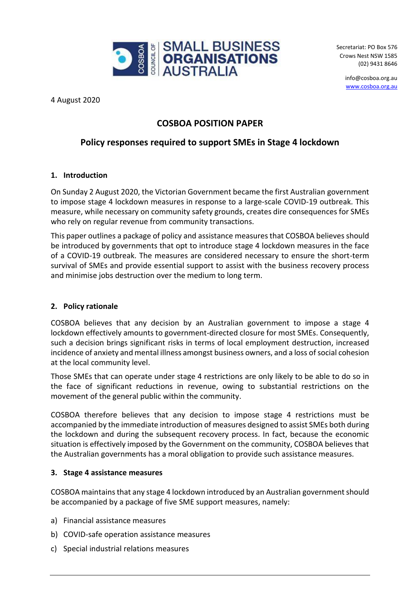

Secretariat: PO Box 576 Crows Nest NSW 1585 (02) 9431 8646

> info@cosboa.org.au [www.cosboa.org.au](http://www.cosboa.org.au/)

4 August 2020

# **COSBOA POSITION PAPER**

# **Policy responses required to support SMEs in Stage 4 lockdown**

# **1. Introduction**

On Sunday 2 August 2020, the Victorian Government became the first Australian government to impose stage 4 lockdown measures in response to a large-scale COVID-19 outbreak. This measure, while necessary on community safety grounds, creates dire consequences for SMEs who rely on regular revenue from community transactions.

This paper outlines a package of policy and assistance measures that COSBOA believes should be introduced by governments that opt to introduce stage 4 lockdown measures in the face of a COVID-19 outbreak. The measures are considered necessary to ensure the short-term survival of SMEs and provide essential support to assist with the business recovery process and minimise jobs destruction over the medium to long term.

#### **2. Policy rationale**

COSBOA believes that any decision by an Australian government to impose a stage 4 lockdown effectively amounts to government-directed closure for most SMEs. Consequently, such a decision brings significant risks in terms of local employment destruction, increased incidence of anxiety and mental illness amongst business owners, and a loss of social cohesion at the local community level.

Those SMEs that can operate under stage 4 restrictions are only likely to be able to do so in the face of significant reductions in revenue, owing to substantial restrictions on the movement of the general public within the community.

COSBOA therefore believes that any decision to impose stage 4 restrictions must be accompanied by the immediate introduction of measures designed to assist SMEs both during the lockdown and during the subsequent recovery process. In fact, because the economic situation is effectively imposed by the Government on the community, COSBOA believes that the Australian governments has a moral obligation to provide such assistance measures.

# **3. Stage 4 assistance measures**

COSBOA maintains that any stage 4 lockdown introduced by an Australian government should be accompanied by a package of five SME support measures, namely:

- a) Financial assistance measures
- b) COVID-safe operation assistance measures
- c) Special industrial relations measures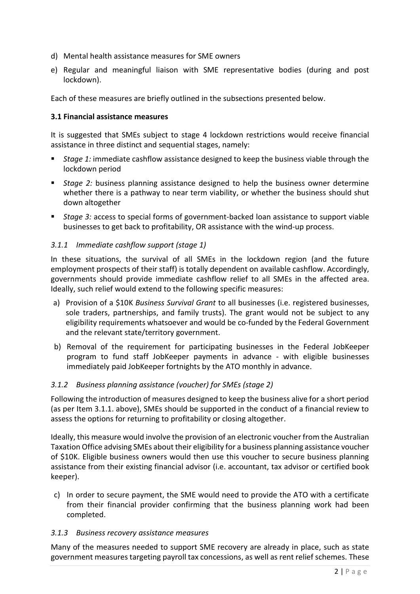- d) Mental health assistance measures for SME owners
- e) Regular and meaningful liaison with SME representative bodies (during and post lockdown).

Each of these measures are briefly outlined in the subsections presented below.

### **3.1 Financial assistance measures**

It is suggested that SMEs subject to stage 4 lockdown restrictions would receive financial assistance in three distinct and sequential stages, namely:

- *Stage 1:* immediate cashflow assistance designed to keep the business viable through the lockdown period
- *Stage 2:* business planning assistance designed to help the business owner determine whether there is a pathway to near term viability, or whether the business should shut down altogether
- *Stage 3:* access to special forms of government-backed loan assistance to support viable businesses to get back to profitability, OR assistance with the wind-up process.

### *3.1.1 Immediate cashflow support (stage 1)*

In these situations, the survival of all SMEs in the lockdown region (and the future employment prospects of their staff) is totally dependent on available cashflow. Accordingly, governments should provide immediate cashflow relief to all SMEs in the affected area. Ideally, such relief would extend to the following specific measures:

- a) Provision of a \$10K *Business Survival Grant* to all businesses (i.e. registered businesses, sole traders, partnerships, and family trusts). The grant would not be subject to any eligibility requirements whatsoever and would be co-funded by the Federal Government and the relevant state/territory government.
- b) Removal of the requirement for participating businesses in the Federal JobKeeper program to fund staff JobKeeper payments in advance - with eligible businesses immediately paid JobKeeper fortnights by the ATO monthly in advance.

# *3.1.2 Business planning assistance (voucher) for SMEs (stage 2)*

Following the introduction of measures designed to keep the business alive for a short period (as per Item 3.1.1. above), SMEs should be supported in the conduct of a financial review to assess the options for returning to profitability or closing altogether.

Ideally, this measure would involve the provision of an electronic voucher from the Australian Taxation Office advising SMEs about their eligibility for a business planning assistance voucher of \$10K. Eligible business owners would then use this voucher to secure business planning assistance from their existing financial advisor (i.e. accountant, tax advisor or certified book keeper).

c) In order to secure payment, the SME would need to provide the ATO with a certificate from their financial provider confirming that the business planning work had been completed.

#### *3.1.3 Business recovery assistance measures*

Many of the measures needed to support SME recovery are already in place, such as state government measures targeting payroll tax concessions, as well as rent relief schemes. These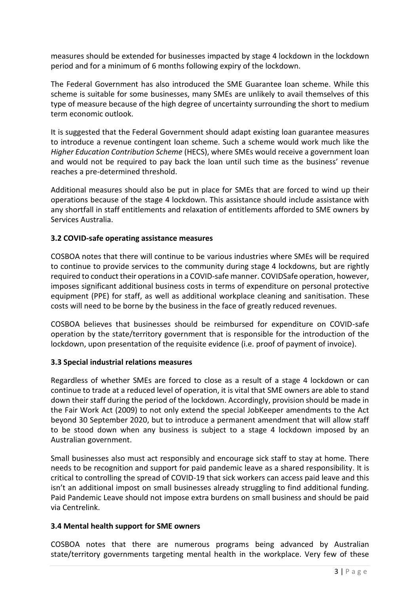measures should be extended for businesses impacted by stage 4 lockdown in the lockdown period and for a minimum of 6 months following expiry of the lockdown.

The Federal Government has also introduced the SME Guarantee loan scheme. While this scheme is suitable for some businesses, many SMEs are unlikely to avail themselves of this type of measure because of the high degree of uncertainty surrounding the short to medium term economic outlook.

It is suggested that the Federal Government should adapt existing loan guarantee measures to introduce a revenue contingent loan scheme. Such a scheme would work much like the *Higher Education Contribution Scheme* (HECS), where SMEs would receive a government loan and would not be required to pay back the loan until such time as the business' revenue reaches a pre-determined threshold.

Additional measures should also be put in place for SMEs that are forced to wind up their operations because of the stage 4 lockdown. This assistance should include assistance with any shortfall in staff entitlements and relaxation of entitlements afforded to SME owners by Services Australia.

### **3.2 COVID-safe operating assistance measures**

COSBOA notes that there will continue to be various industries where SMEs will be required to continue to provide services to the community during stage 4 lockdowns, but are rightly required to conduct their operations in a COVID-safe manner. COVIDSafe operation, however, imposes significant additional business costs in terms of expenditure on personal protective equipment (PPE) for staff, as well as additional workplace cleaning and sanitisation. These costs will need to be borne by the business in the face of greatly reduced revenues.

COSBOA believes that businesses should be reimbursed for expenditure on COVID-safe operation by the state/territory government that is responsible for the introduction of the lockdown, upon presentation of the requisite evidence (i.e. proof of payment of invoice).

#### **3.3 Special industrial relations measures**

Regardless of whether SMEs are forced to close as a result of a stage 4 lockdown or can continue to trade at a reduced level of operation, it is vital that SME owners are able to stand down their staff during the period of the lockdown. Accordingly, provision should be made in the Fair Work Act (2009) to not only extend the special JobKeeper amendments to the Act beyond 30 September 2020, but to introduce a permanent amendment that will allow staff to be stood down when any business is subject to a stage 4 lockdown imposed by an Australian government.

Small businesses also must act responsibly and encourage sick staff to stay at home. There needs to be recognition and support for paid pandemic leave as a shared responsibility. It is critical to controlling the spread of COVID-19 that sick workers can access paid leave and this isn't an additional impost on small businesses already struggling to find additional funding. Paid Pandemic Leave should not impose extra burdens on small business and should be paid via Centrelink.

#### **3.4 Mental health support for SME owners**

COSBOA notes that there are numerous programs being advanced by Australian state/territory governments targeting mental health in the workplace. Very few of these